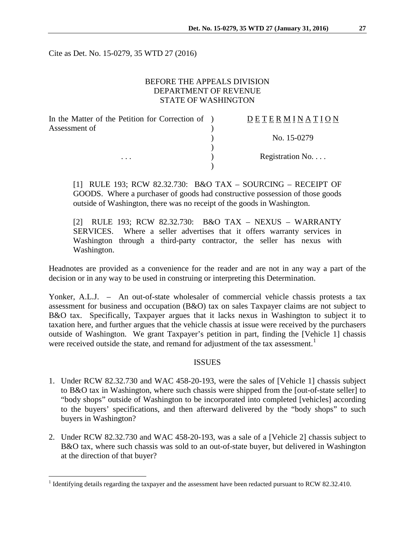Cite as Det. No. 15-0279, 35 WTD 27 (2016)

## BEFORE THE APPEALS DIVISION DEPARTMENT OF REVENUE STATE OF WASHINGTON

| In the Matter of the Petition for Correction of ) | <b>DETERMINATION</b> |
|---------------------------------------------------|----------------------|
| Assessment of<br>$\cdots$                         |                      |
|                                                   | No. 15-0279          |
|                                                   |                      |
|                                                   | Registration No      |
|                                                   |                      |

[1] RULE 193; RCW 82.32.730: B&O TAX – SOURCING – RECEIPT OF GOODS. Where a purchaser of goods had constructive possession of those goods outside of Washington, there was no receipt of the goods in Washington.

[2] RULE 193; RCW 82.32.730: B&O TAX – NEXUS – WARRANTY SERVICES. Where a seller advertises that it offers warranty services in Washington through a third-party contractor, the seller has nexus with Washington.

Headnotes are provided as a convenience for the reader and are not in any way a part of the decision or in any way to be used in construing or interpreting this Determination.

Yonker, A.L.J. – An out-of-state wholesaler of commercial vehicle chassis protests a tax assessment for business and occupation (B&O) tax on sales Taxpayer claims are not subject to B&O tax. Specifically, Taxpayer argues that it lacks nexus in Washington to subject it to taxation here, and further argues that the vehicle chassis at issue were received by the purchasers outside of Washington. We grant Taxpayer's petition in part, finding the [Vehicle 1] chassis were received outside the state, and remand for adjustment of the tax assessment.<sup>[1](#page-0-0)</sup>

#### ISSUES

- 1. Under RCW 82.32.730 and WAC 458-20-193, were the sales of [Vehicle 1] chassis subject to B&O tax in Washington, where such chassis were shipped from the [out-of-state seller] to "body shops" outside of Washington to be incorporated into completed [vehicles] according to the buyers' specifications, and then afterward delivered by the "body shops" to such buyers in Washington?
- 2. Under RCW 82.32.730 and WAC 458-20-193, was a sale of a [Vehicle 2] chassis subject to B&O tax, where such chassis was sold to an out-of-state buyer, but delivered in Washington at the direction of that buyer?

<span id="page-0-0"></span><sup>&</sup>lt;sup>1</sup> Identifying details regarding the taxpayer and the assessment have been redacted pursuant to RCW 82.32.410.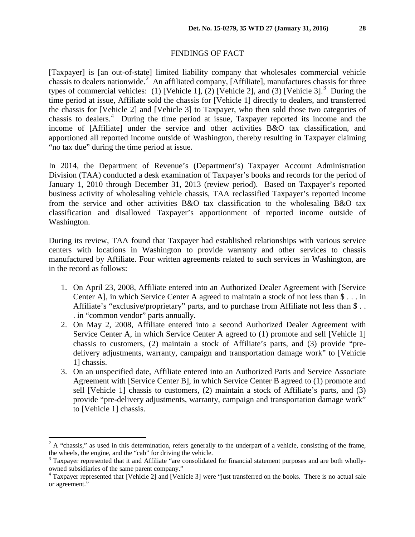#### FINDINGS OF FACT

[Taxpayer] is [an out-of-state] limited liability company that wholesales commercial vehicle chassis to dealers nationwide.<sup>[2](#page-1-0)</sup> An affiliated company, [Affiliate], manufactures chassis for three types of commercial vehicles: (1) [Vehicle 1], (2) [Vehicle 2], and ([3](#page-1-1)) [Vehicle 3].<sup>3</sup> During the time period at issue, Affiliate sold the chassis for [Vehicle 1] directly to dealers, and transferred the chassis for [Vehicle 2] and [Vehicle 3] to Taxpayer, who then sold those two categories of chassis to dealers.<sup>[4](#page-1-2)</sup> During the time period at issue, Taxpayer reported its income and the income of [Affiliate] under the service and other activities B&O tax classification, and apportioned all reported income outside of Washington, thereby resulting in Taxpayer claiming "no tax due" during the time period at issue.

In 2014, the Department of Revenue's (Department's) Taxpayer Account Administration Division (TAA) conducted a desk examination of Taxpayer's books and records for the period of January 1, 2010 through December 31, 2013 (review period). Based on Taxpayer's reported business activity of wholesaling vehicle chassis, TAA reclassified Taxpayer's reported income from the service and other activities B&O tax classification to the wholesaling B&O tax classification and disallowed Taxpayer's apportionment of reported income outside of Washington.

During its review, TAA found that Taxpayer had established relationships with various service centers with locations in Washington to provide warranty and other services to chassis manufactured by Affiliate. Four written agreements related to such services in Washington, are in the record as follows:

- 1. On April 23, 2008, Affiliate entered into an Authorized Dealer Agreement with [Service Center A], in which Service Center A agreed to maintain a stock of not less than \$ . . . in Affiliate's "exclusive/proprietary" parts, and to purchase from Affiliate not less than \$ . . . in "common vendor" parts annually.
- 2. On May 2, 2008, Affiliate entered into a second Authorized Dealer Agreement with Service Center A, in which Service Center A agreed to (1) promote and sell [Vehicle 1] chassis to customers, (2) maintain a stock of Affiliate's parts, and (3) provide "predelivery adjustments, warranty, campaign and transportation damage work" to [Vehicle 1] chassis.
- 3. On an unspecified date, Affiliate entered into an Authorized Parts and Service Associate Agreement with [Service Center B], in which Service Center B agreed to (1) promote and sell [Vehicle 1] chassis to customers, (2) maintain a stock of Affiliate's parts, and (3) provide "pre-delivery adjustments, warranty, campaign and transportation damage work" to [Vehicle 1] chassis.

<span id="page-1-0"></span> $2 \text{ A}$  "chassis," as used in this determination, refers generally to the underpart of a vehicle, consisting of the frame, the wheels, the engine, and the "cab" for driving the vehicle.

<span id="page-1-1"></span><sup>&</sup>lt;sup>3</sup> Taxpayer represented that it and Affiliate "are consolidated for financial statement purposes and are both whollyowned subsidiaries of the same parent company."

<span id="page-1-2"></span> $4$  Taxpayer represented that [Vehicle 2] and [Vehicle 3] were "just transferred on the books. There is no actual sale or agreement."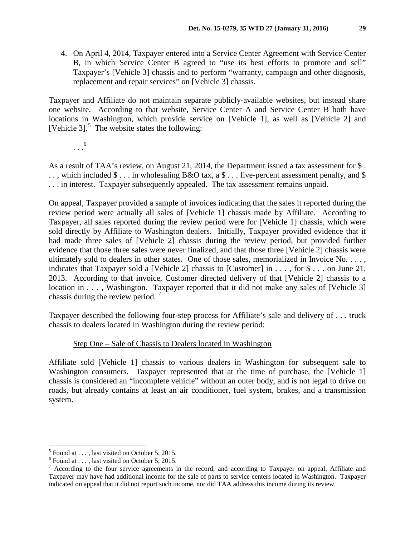4. On April 4, 2014, Taxpayer entered into a Service Center Agreement with Service Center B, in which Service Center B agreed to "use its best efforts to promote and sell" Taxpayer's [Vehicle 3] chassis and to perform "warranty, campaign and other diagnosis, replacement and repair services" on [Vehicle 3] chassis.

Taxpayer and Affiliate do not maintain separate publicly-available websites, but instead share one website. According to that website, Service Center A and Service Center B both have locations in Washington, which provide service on [Vehicle 1], as well as [Vehicle 2] and [Vehicle 3]. $<sup>5</sup>$  $<sup>5</sup>$  $<sup>5</sup>$  The website states the following:</sup>

. . . [6](#page-2-1)

As a result of TAA's review, on August 21, 2014, the Department issued a tax assessment for \$. .., which included \$ ... in wholesaling B&O tax, a \$ ... five-percent assessment penalty, and \$ . . . in interest. Taxpayer subsequently appealed. The tax assessment remains unpaid.

On appeal, Taxpayer provided a sample of invoices indicating that the sales it reported during the review period were actually all sales of [Vehicle 1] chassis made by Affiliate. According to Taxpayer, all sales reported during the review period were for [Vehicle 1] chassis, which were sold directly by Affiliate to Washington dealers. Initially, Taxpayer provided evidence that it had made three sales of [Vehicle 2] chassis during the review period, but provided further evidence that those three sales were never finalized, and that those three [Vehicle 2] chassis were ultimately sold to dealers in other states. One of those sales, memorialized in Invoice No.... indicates that Taxpayer sold a [Vehicle 2] chassis to [Customer] in . . . , for  $\$\ldots$$  on June 21, 2013. According to that invoice, Customer directed delivery of that [Vehicle 2] chassis to a location in . . . , Washington. Taxpayer reported that it did not make any sales of [Vehicle 3] chassis during the review period.<sup>[7](#page-2-2)</sup>

Taxpayer described the following four-step process for Affiliate's sale and delivery of . . . truck chassis to dealers located in Washington during the review period:

## Step One – Sale of Chassis to Dealers located in Washington

Affiliate sold [Vehicle 1] chassis to various dealers in Washington for subsequent sale to Washington consumers. Taxpayer represented that at the time of purchase, the [Vehicle 1] chassis is considered an "incomplete vehicle" without an outer body, and is not legal to drive on roads, but already contains at least an air conditioner, fuel system, brakes, and a transmission system.

<span id="page-2-2"></span><span id="page-2-1"></span>

<span id="page-2-0"></span><sup>&</sup>lt;sup>5</sup> Found at [.](https://www.autocartruck.com/customer-portal#login/solutions/1) . . , last visited on October 5, 2015.<br><sup>6</sup> Found at  $\ldots$ , last visited on October 5, 2015.<br><sup>7</sup> According to the four service agreements in the record, and according to Taxpayer on appeal, Affiliate and Taxpayer may have had additional income for the sale of parts to service centers located in Washington. Taxpayer indicated on appeal that it did not report such income, nor did TAA address this income during its review.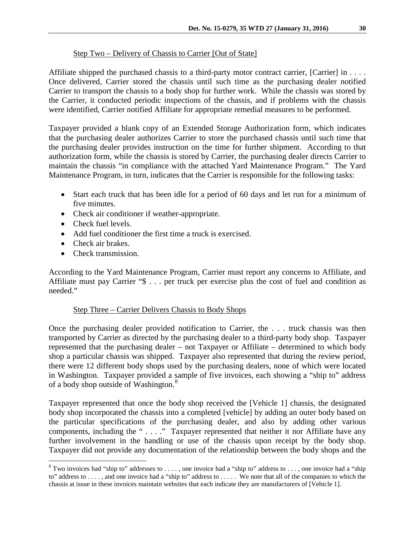# Step Two – Delivery of Chassis to Carrier [Out of State]

Affiliate shipped the purchased chassis to a third-party motor contract carrier, [Carrier] in . . . . Once delivered, Carrier stored the chassis until such time as the purchasing dealer notified Carrier to transport the chassis to a body shop for further work. While the chassis was stored by the Carrier, it conducted periodic inspections of the chassis, and if problems with the chassis were identified, Carrier notified Affiliate for appropriate remedial measures to be performed.

Taxpayer provided a blank copy of an Extended Storage Authorization form, which indicates that the purchasing dealer authorizes Carrier to store the purchased chassis until such time that the purchasing dealer provides instruction on the time for further shipment. According to that authorization form, while the chassis is stored by Carrier, the purchasing dealer directs Carrier to maintain the chassis "in compliance with the attached Yard Maintenance Program." The Yard Maintenance Program, in turn, indicates that the Carrier is responsible for the following tasks:

- Start each truck that has been idle for a period of 60 days and let run for a minimum of five minutes.
- Check air conditioner if weather-appropriate.
- Check fuel levels.
- Add fuel conditioner the first time a truck is exercised.
- Check air brakes.
- Check transmission.

According to the Yard Maintenance Program, Carrier must report any concerns to Affiliate, and Affiliate must pay Carrier "\$ . . . per truck per exercise plus the cost of fuel and condition as needed."

# Step Three – Carrier Delivers Chassis to Body Shops

Once the purchasing dealer provided notification to Carrier, the . . . truck chassis was then transported by Carrier as directed by the purchasing dealer to a third-party body shop. Taxpayer represented that the purchasing dealer – not Taxpayer or Affiliate – determined to which body shop a particular chassis was shipped. Taxpayer also represented that during the review period, there were 12 different body shops used by the purchasing dealers, none of which were located in Washington. Taxpayer provided a sample of five invoices, each showing a "ship to" address of a body shop outside of Washington.<sup>[8](#page-3-0)</sup>

Taxpayer represented that once the body shop received the [Vehicle 1] chassis, the designated body shop incorporated the chassis into a completed [vehicle] by adding an outer body based on the particular specifications of the purchasing dealer, and also by adding other various components, including the " . . . ." Taxpayer represented that neither it nor Affiliate have any further involvement in the handling or use of the chassis upon receipt by the body shop. Taxpayer did not provide any documentation of the relationship between the body shops and the

<span id="page-3-0"></span> $8$  Two invoices had "ship to" addresses to ..., one invoice had a "ship to" address to ..., one invoice had a "ship" to" address to . . . . , and one invoice had a "ship to" address to . . . . . We note that all of the companies to which the chassis at issue in these invoices maintain websites that each indicate they are manufacturers of [Vehicle 1].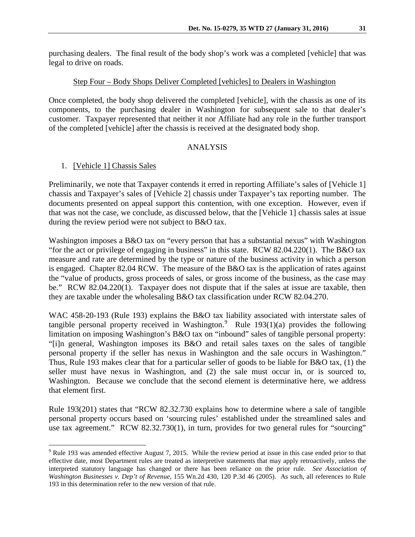purchasing dealers. The final result of the body shop's work was a completed [vehicle] that was legal to drive on roads.

## Step Four – Body Shops Deliver Completed [vehicles] to Dealers in Washington

Once completed, the body shop delivered the completed [vehicle], with the chassis as one of its components, to the purchasing dealer in Washington for subsequent sale to that dealer's customer. Taxpayer represented that neither it nor Affiliate had any role in the further transport of the completed [vehicle] after the chassis is received at the designated body shop.

## ANALYSIS

## 1. [Vehicle 1] Chassis Sales

Preliminarily, we note that Taxpayer contends it erred in reporting Affiliate's sales of [Vehicle 1] chassis and Taxpayer's sales of [Vehicle 2] chassis under Taxpayer's tax reporting number. The documents presented on appeal support this contention, with one exception. However, even if that was not the case, we conclude, as discussed below, that the [Vehicle 1] chassis sales at issue during the review period were not subject to B&O tax.

Washington imposes a B&O tax on "every person that has a substantial nexus" with Washington "for the act or privilege of engaging in business" in this state. RCW 82.04.220(1). The B&O tax measure and rate are determined by the type or nature of the business activity in which a person is engaged. Chapter 82.04 RCW. The measure of the B&O tax is the application of rates against the "value of products, gross proceeds of sales, or gross income of the business, as the case may be." RCW 82.04.220(1). Taxpayer does not dispute that if the sales at issue are taxable, then they are taxable under the wholesaling B&O tax classification under RCW 82.04.270.

WAC 458-20-193 (Rule 193) explains the B&O tax liability associated with interstate sales of tangible personal property received in Washington.<sup>[9](#page-4-0)</sup> Rule 193(1)(a) provides the following limitation on imposing Washington's B&O tax on "inbound" sales of tangible personal property: "[i]n general, Washington imposes its B&O and retail sales taxes on the sales of tangible personal property if the seller has nexus in Washington and the sale occurs in Washington." Thus, Rule 193 makes clear that for a particular seller of goods to be liable for B&O tax, (1) the seller must have nexus in Washington, and (2) the sale must occur in, or is sourced to, Washington. Because we conclude that the second element is determinative here, we address that element first.

Rule 193(201) states that "RCW 82.32.730 explains how to determine where a sale of tangible personal property occurs based on 'sourcing rules' established under the streamlined sales and use tax agreement." RCW 82.32.730(1), in turn, provides for two general rules for "sourcing"

<span id="page-4-0"></span><sup>&</sup>lt;sup>9</sup> Rule 193 was amended effective August 7, 2015. While the review period at issue in this case ended prior to that effective date, most Department rules are treated as interpretive statements that may apply retroactively, unless the interpreted statutory language has changed or there has been reliance on the prior rule. *See Association of Washington Businesses v. Dep't of Revenue,* 155 Wn.2d 430, 120 P.3d 46 (2005). As such, all references to Rule 193 in this determination refer to the new version of that rule.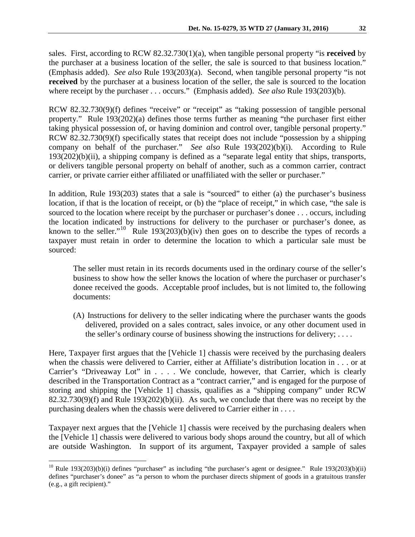sales. First, according to RCW 82.32.730(1)(a), when tangible personal property "is **received** by the purchaser at a business location of the seller, the sale is sourced to that business location." (Emphasis added). *See also* Rule 193(203)(a). Second, when tangible personal property "is not **received** by the purchaser at a business location of the seller, the sale is sourced to the location where receipt by the purchaser . . . occurs." (Emphasis added). *See also* Rule 193(203)(b).

RCW 82.32.730(9)(f) defines "receive" or "receipt" as "taking possession of tangible personal property." Rule 193(202)(a) defines those terms further as meaning "the purchaser first either taking physical possession of, or having dominion and control over, tangible personal property." RCW 82.32.730(9)(f) specifically states that receipt does not include "possession by a shipping company on behalf of the purchaser." *See also* Rule 193(202)(b)(i). According to Rule 193(202)(b)(ii), a shipping company is defined as a "separate legal entity that ships, transports, or delivers tangible personal property on behalf of another, such as a common carrier, contract carrier, or private carrier either affiliated or unaffiliated with the seller or purchaser."

In addition, Rule 193(203) states that a sale is "sourced" to either (a) the purchaser's business location, if that is the location of receipt, or (b) the "place of receipt," in which case, "the sale is sourced to the location where receipt by the purchaser or purchaser's donee . . . occurs, including the location indicated by instructions for delivery to the purchaser or purchaser's donee, as known to the seller."<sup>10</sup> Rule 193(203)(b)(iv) then goes on to describe the types of records a taxpayer must retain in order to determine the location to which a particular sale must be sourced:

The seller must retain in its records documents used in the ordinary course of the seller's business to show how the seller knows the location of where the purchaser or purchaser's donee received the goods. Acceptable proof includes, but is not limited to, the following documents:

(A) Instructions for delivery to the seller indicating where the purchaser wants the goods delivered, provided on a sales contract, sales invoice, or any other document used in the seller's ordinary course of business showing the instructions for delivery; . . . .

Here, Taxpayer first argues that the [Vehicle 1] chassis were received by the purchasing dealers when the chassis were delivered to Carrier, either at Affiliate's distribution location in . . . or at Carrier's "Driveaway Lot" in . . . . We conclude, however, that Carrier, which is clearly described in the Transportation Contract as a "contract carrier," and is engaged for the purpose of storing and shipping the [Vehicle 1] chassis, qualifies as a "shipping company" under RCW 82.32.730(9)(f) and Rule 193(202)(b)(ii). As such, we conclude that there was no receipt by the purchasing dealers when the chassis were delivered to Carrier either in . . . .

Taxpayer next argues that the [Vehicle 1] chassis were received by the purchasing dealers when the [Vehicle 1] chassis were delivered to various body shops around the country, but all of which are outside Washington. In support of its argument, Taxpayer provided a sample of sales

<span id="page-5-0"></span> $10$  Rule 193(203)(b)(i) defines "purchaser" as including "the purchaser's agent or designee." Rule 193(203)(b)(ii) defines "purchaser's donee" as "a person to whom the purchaser directs shipment of goods in a gratuitous transfer (e.g., a gift recipient)."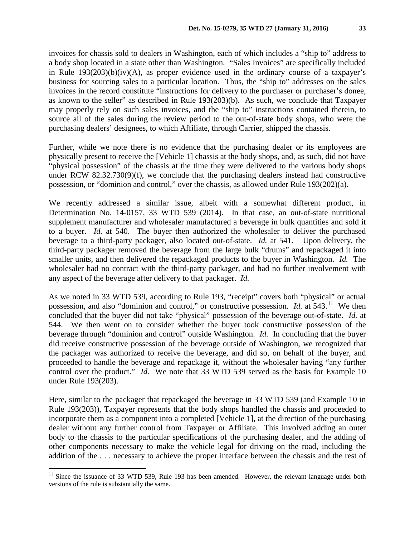invoices for chassis sold to dealers in Washington, each of which includes a "ship to" address to a body shop located in a state other than Washington. "Sales Invoices" are specifically included in Rule 193(203)(b)(iv)(A), as proper evidence used in the ordinary course of a taxpayer's business for sourcing sales to a particular location. Thus, the "ship to" addresses on the sales invoices in the record constitute "instructions for delivery to the purchaser or purchaser's donee, as known to the seller" as described in Rule 193(203)(b). As such, we conclude that Taxpayer may properly rely on such sales invoices, and the "ship to" instructions contained therein, to source all of the sales during the review period to the out-of-state body shops, who were the purchasing dealers' designees, to which Affiliate, through Carrier, shipped the chassis.

Further, while we note there is no evidence that the purchasing dealer or its employees are physically present to receive the [Vehicle 1] chassis at the body shops, and, as such, did not have "physical possession" of the chassis at the time they were delivered to the various body shops under RCW 82.32.730(9)(f), we conclude that the purchasing dealers instead had constructive possession, or "dominion and control," over the chassis, as allowed under Rule 193(202)(a).

We recently addressed a similar issue, albeit with a somewhat different product, in Determination No. 14-0157, 33 WTD 539 (2014). In that case, an out-of-state nutritional supplement manufacturer and wholesaler manufactured a beverage in bulk quantities and sold it to a buyer. *Id.* at 540. The buyer then authorized the wholesaler to deliver the purchased beverage to a third-party packager, also located out-of-state. *Id.* at 541. Upon delivery, the third-party packager removed the beverage from the large bulk "drums" and repackaged it into smaller units, and then delivered the repackaged products to the buyer in Washington. *Id.* The wholesaler had no contract with the third-party packager, and had no further involvement with any aspect of the beverage after delivery to that packager. *Id.*

As we noted in 33 WTD 539, according to Rule 193, "receipt" covers both "physical" or actual possession, and also "dominion and control," or constructive possession. *Id.* at 543.<sup>[11](#page-6-0)</sup> We then concluded that the buyer did not take "physical" possession of the beverage out-of-state. *Id.* at 544. We then went on to consider whether the buyer took constructive possession of the beverage through "dominion and control" outside Washington. *Id.* In concluding that the buyer did receive constructive possession of the beverage outside of Washington, we recognized that the packager was authorized to receive the beverage, and did so, on behalf of the buyer, and proceeded to handle the beverage and repackage it, without the wholesaler having "any further control over the product." *Id.* We note that 33 WTD 539 served as the basis for Example 10 under Rule 193(203).

Here, similar to the packager that repackaged the beverage in 33 WTD 539 (and Example 10 in Rule 193(203)), Taxpayer represents that the body shops handled the chassis and proceeded to incorporate them as a component into a completed [Vehicle 1], at the direction of the purchasing dealer without any further control from Taxpayer or Affiliate. This involved adding an outer body to the chassis to the particular specifications of the purchasing dealer, and the adding of other components necessary to make the vehicle legal for driving on the road, including the addition of the . . . necessary to achieve the proper interface between the chassis and the rest of

<span id="page-6-0"></span> $11$  Since the issuance of 33 WTD 539, Rule 193 has been amended. However, the relevant language under both versions of the rule is substantially the same.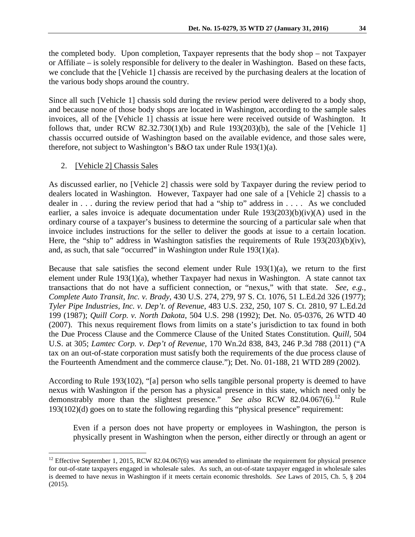the completed body. Upon completion, Taxpayer represents that the body shop – not Taxpayer or Affiliate – is solely responsible for delivery to the dealer in Washington. Based on these facts, we conclude that the [Vehicle 1] chassis are received by the purchasing dealers at the location of the various body shops around the country.

Since all such [Vehicle 1] chassis sold during the review period were delivered to a body shop, and because none of those body shops are located in Washington, according to the sample sales invoices, all of the [Vehicle 1] chassis at issue here were received outside of Washington. It follows that, under RCW  $82.32.730(1)(b)$  and Rule  $193(203)(b)$ , the sale of the [Vehicle 1] chassis occurred outside of Washington based on the available evidence, and those sales were, therefore, not subject to Washington's B&O tax under Rule 193(1)(a).

#### 2. [Vehicle 2] Chassis Sales

As discussed earlier, no [Vehicle 2] chassis were sold by Taxpayer during the review period to dealers located in Washington. However, Taxpayer had one sale of a [Vehicle 2] chassis to a dealer in . . . during the review period that had a "ship to" address in . . . . As we concluded earlier, a sales invoice is adequate documentation under Rule 193(203)(b)(iv)(A) used in the ordinary course of a taxpayer's business to determine the sourcing of a particular sale when that invoice includes instructions for the seller to deliver the goods at issue to a certain location. Here, the "ship to" address in Washington satisfies the requirements of Rule 193(203)(b)(iv), and, as such, that sale "occurred" in Washington under Rule 193(1)(a).

Because that sale satisfies the second element under Rule  $193(1)(a)$ , we return to the first element under Rule 193(1)(a), whether Taxpayer had nexus in Washington. A state cannot tax transactions that do not have a sufficient connection, or "nexus," with that state. *See, e.g.*, *Complete Auto Transit, Inc. v. Brady*, 430 U.S. 274, 279, 97 S. Ct. 1076, 51 L.Ed.2d 326 (1977); *Tyler Pipe Industries, Inc. v. Dep't. of Revenue*, 483 U.S. 232, 250, 107 S. Ct. 2810, 97 L.Ed.2d 199 (1987); *Quill Corp. v. North Dakota*, 504 U.S. 298 (1992); Det. No. 05-0376, 26 WTD 40 (2007). This nexus requirement flows from limits on a state's jurisdiction to tax found in both the Due Process Clause and the Commerce Clause of the United States Constitution. *Quill,* 504 U.S. at 305; *Lamtec Corp. v. Dep't of Revenue,* 170 Wn.2d 838, 843, 246 P.3d 788 (2011) ("A tax on an out-of-state corporation must satisfy both the requirements of the due process clause of the Fourteenth Amendment and the commerce clause."); Det. No. 01-188, 21 WTD 289 (2002).

According to Rule 193(102), "[a] person who sells tangible personal property is deemed to have nexus with Washington if the person has a physical presence in this state, which need only be demonstrably more than the slightest presence." See also RCW 82.04.067(6).<sup>12</sup> Rule demonstrably more than the slightest presence." *See also* RCW 82.04.067(6).<sup>[12](#page-7-0)</sup> Rule 193(102)(d) goes on to state the following regarding this "physical presence" requirement:

Even if a person does not have property or employees in Washington, the person is physically present in Washington when the person, either directly or through an agent or

<span id="page-7-0"></span><sup>&</sup>lt;sup>12</sup> Effective September 1, 2015, RCW 82.04.067(6) was amended to eliminate the requirement for physical presence for out-of-state taxpayers engaged in wholesale sales. As such, an out-of-state taxpayer engaged in wholesale sales is deemed to have nexus in Washington if it meets certain economic thresholds. *See* Laws of 2015, Ch. 5, § 204 (2015).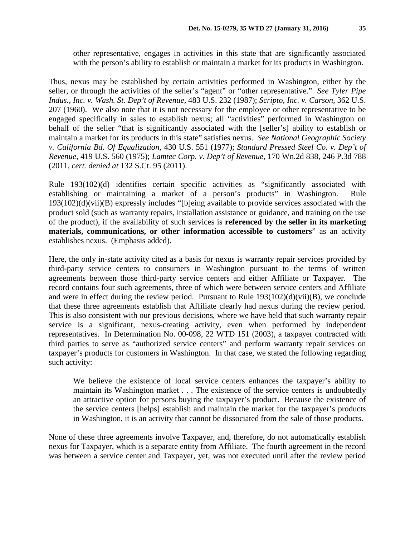other representative, engages in activities in this state that are significantly associated with the person's ability to establish or maintain a market for its products in Washington.

Thus, nexus may be established by certain activities performed in Washington, either by the seller, or through the activities of the seller's "agent" or "other representative." *See Tyler Pipe Indus., Inc. v. Wash. St. Dep't of Revenue,* 483 U.S. 232 (1987); *Scripto, Inc. v. Carson,* 362 U.S. 207 (1960). We also note that it is not necessary for the employee or other representative to be engaged specifically in sales to establish nexus; all "activities" performed in Washington on behalf of the seller "that is significantly associated with the [seller's] ability to establish or maintain a market for its products in this state" satisfies nexus. *See National Geographic Society v. California Bd. Of Equalization,* 430 U.S. 551 (1977); *Standard Pressed Steel Co. v. Dep't of Revenue,* 419 U.S. 560 (1975); *Lamtec Corp. v. Dep't of Revenue,* 170 Wn.2d 838, 246 P.3d 788 (2011, *cert. denied at* 132 S.Ct. 95 (2011).

Rule 193(102)(d) identifies certain specific activities as "significantly associated with establishing or maintaining a market of a person's products" in Washington. Rule 193(102)(d)(vii)(B) expressly includes "[b]eing available to provide services associated with the product sold (such as warranty repairs, installation assistance or guidance, and training on the use of the product), if the availability of such services is **referenced by the seller in its marketing materials, communications, or other information accessible to customers**" as an activity establishes nexus. (Emphasis added).

Here, the only in-state activity cited as a basis for nexus is warranty repair services provided by third-party service centers to consumers in Washington pursuant to the terms of written agreements between those third-party service centers and either Affiliate or Taxpayer. The record contains four such agreements, three of which were between service centers and Affiliate and were in effect during the review period. Pursuant to Rule  $193(102)(d)(vii)(B)$ , we conclude that these three agreements establish that Affiliate clearly had nexus during the review period. This is also consistent with our previous decisions, where we have held that such warranty repair service is a significant, nexus-creating activity, even when performed by independent representatives. In Determination No. 00-098, 22 WTD 151 (2003), a taxpayer contracted with third parties to serve as "authorized service centers" and perform warranty repair services on taxpayer's products for customers in Washington. In that case, we stated the following regarding such activity:

We believe the existence of local service centers enhances the taxpayer's ability to maintain its Washington market . . . The existence of the service centers is undoubtedly an attractive option for persons buying the taxpayer's product. Because the existence of the service centers [helps] establish and maintain the market for the taxpayer's products in Washington, it is an activity that cannot be dissociated from the sale of those products.

None of these three agreements involve Taxpayer, and, therefore, do not automatically establish nexus for Taxpayer, which is a separate entity from Affiliate. The fourth agreement in the record was between a service center and Taxpayer, yet, was not executed until after the review period